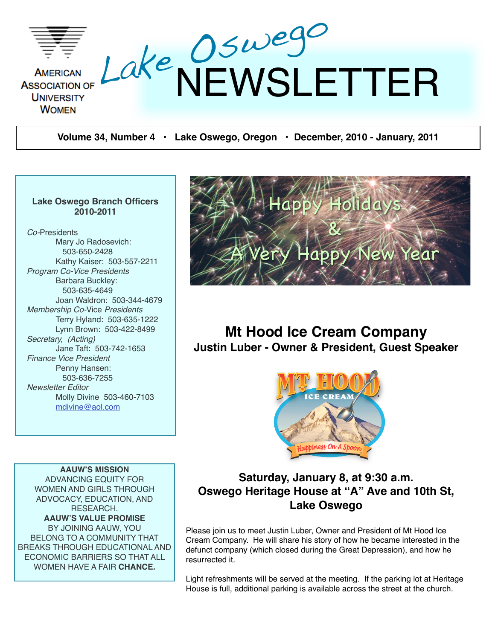

**Volume 34, Number 4 • Lake Oswego, Oregon • December, 2010 - January, 2011**

#### **Lake Oswego Branch Officers 2010-2011**

*Co-*Presidents Mary Jo Radosevich: 503-650-2428 Kathy Kaiser: 503-557-2211 *Program Co-Vice Presidents* Barbara Buckley: 503-635-4649 Joan Waldron: 503-344-4679 *Membership Co-*Vice *Presidents* Terry Hyland: 503-635-1222 Lynn Brown: 503-422-8499 *Secretary, (Acting)* Jane Taft: 503-742-1653 *Finance Vice President* Penny Hansen: 503-636-7255 *Newsletter Editor* Molly Divine 503-460-7103 [mdivine@aol.com](mailto:mdivine@aol.com)



# **Mt Hood Ice Cream Company Justin Luber - Owner & President, Guest Speaker**



**AAUW'S MISSION** ADVANCING EQUITY FOR WOMEN AND GIRLS THROUGH ADVOCACY, EDUCATION, AND RESEARCH. **AAUW'S VALUE PROMISE** BY JOINING AAUW, YOU BELONG TO A COMMUNITY THAT BREAKS THROUGH EDUCATIONAL AND ECONOMIC BARRIERS SO THAT ALL WOMEN HAVE A FAIR **CHANCE.**

# **Saturday, January 8, at 9:30 a.m. Oswego Heritage House at "A" Ave and 10th St, Lake Oswego**

Please join us to meet Justin Luber, Owner and President of Mt Hood Ice Cream Company. He will share his story of how he became interested in the defunct company (which closed during the Great Depression), and how he resurrected it.

Light refreshments will be served at the meeting. If the parking lot at Heritage House is full, additional parking is available across the street at the church.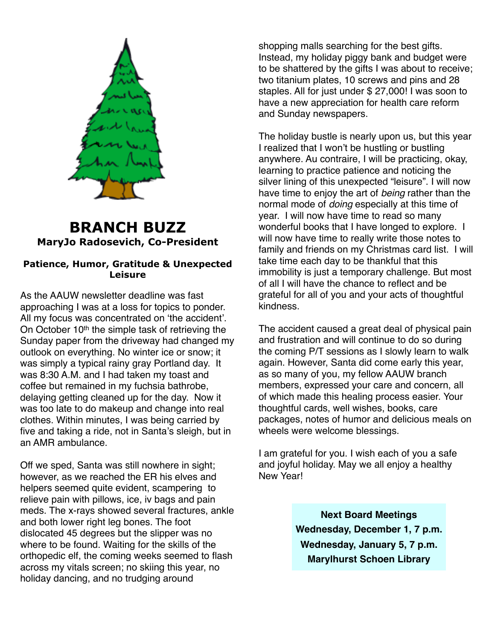

# **BRANCH BUZZ MaryJo Radosevich, Co-President**

#### **Patience, Humor, Gratitude & Unexpected Leisure**

As the AAUW newsletter deadline was fast approaching I was at a loss for topics to ponder. All my focus was concentrated on ʻthe accident'. On October 10<sup>th</sup> the simple task of retrieving the Sunday paper from the driveway had changed my outlook on everything. No winter ice or snow; it was simply a typical rainy gray Portland day. It was 8:30 A.M. and I had taken my toast and coffee but remained in my fuchsia bathrobe, delaying getting cleaned up for the day. Now it was too late to do makeup and change into real clothes. Within minutes, I was being carried by five and taking a ride, not in Santa's sleigh, but in an AMR ambulance.

Off we sped, Santa was still nowhere in sight; however, as we reached the ER his elves and helpers seemed quite evident, scampering to relieve pain with pillows, ice, iv bags and pain meds. The x-rays showed several fractures, ankle and both lower right leg bones. The foot dislocated 45 degrees but the slipper was no where to be found. Waiting for the skills of the orthopedic elf, the coming weeks seemed to flash across my vitals screen; no skiing this year, no holiday dancing, and no trudging around

shopping malls searching for the best gifts. Instead, my holiday piggy bank and budget were to be shattered by the gifts I was about to receive; two titanium plates, 10 screws and pins and 28 staples. All for just under \$ 27,000! I was soon to have a new appreciation for health care reform and Sunday newspapers.

The holiday bustle is nearly upon us, but this year I realized that I won't be hustling or bustling anywhere. Au contraire, I will be practicing, okay, learning to practice patience and noticing the silver lining of this unexpected "leisure". I will now have time to enjoy the art of *being* rather than the normal mode of *doing* especially at this time of year. I will now have time to read so many wonderful books that I have longed to explore. I will now have time to really write those notes to family and friends on my Christmas card list. I will take time each day to be thankful that this immobility is just a temporary challenge. But most of all I will have the chance to reflect and be grateful for all of you and your acts of thoughtful kindness.

The accident caused a great deal of physical pain and frustration and will continue to do so during the coming P/T sessions as I slowly learn to walk again. However, Santa did come early this year, as so many of you, my fellow AAUW branch members, expressed your care and concern, all of which made this healing process easier. Your thoughtful cards, well wishes, books, care packages, notes of humor and delicious meals on wheels were welcome blessings.

I am grateful for you. I wish each of you a safe and joyful holiday. May we all enjoy a healthy New Year!

> **Next Board Meetings Wednesday, December 1, 7 p.m. Wednesday, January 5, 7 p.m. Marylhurst Schoen Library**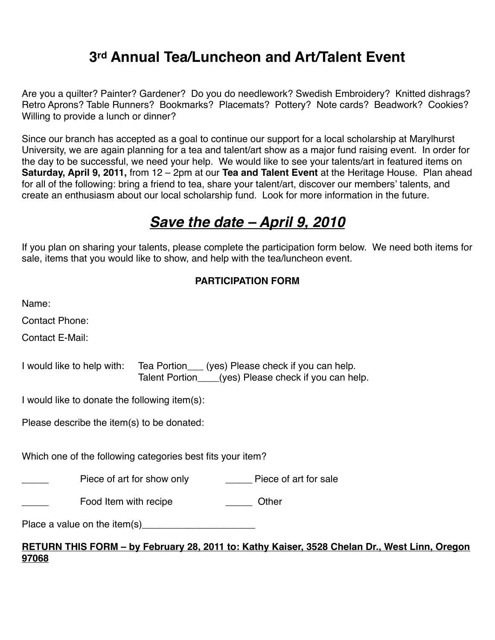# **3rd Annual Tea/Luncheon and Art/Talent Event**

Are you a quilter? Painter? Gardener? Do you do needlework? Swedish Embroidery? Knitted dishrags? Retro Aprons? Table Runners? Bookmarks? Placemats? Pottery? Note cards? Beadwork? Cookies? Willing to provide a lunch or dinner?

Since our branch has accepted as a goal to continue our support for a local scholarship at Marylhurst University, we are again planning for a tea and talent/art show as a major fund raising event. In order for the day to be successful, we need your help. We would like to see your talents/art in featured items on **Saturday, April 9, 2011,** from 12 – 2pm at our **Tea and Talent Event** at the Heritage House. Plan ahead for all of the following: bring a friend to tea, share your talent/art, discover our members' talents, and create an enthusiasm about our local scholarship fund. Look for more information in the future.

# *Save the date – April 9, 2010*

If you plan on sharing your talents, please complete the participation form below. We need both items for sale, items that you would like to show, and help with the tea/luncheon event.

#### **PARTICIPATION FORM**

| Name:                                                                                                                                                                                                                             |                                               |                                                                                                           |  |  |  |  |
|-----------------------------------------------------------------------------------------------------------------------------------------------------------------------------------------------------------------------------------|-----------------------------------------------|-----------------------------------------------------------------------------------------------------------|--|--|--|--|
| <b>Contact Phone:</b>                                                                                                                                                                                                             |                                               |                                                                                                           |  |  |  |  |
| Contact E-Mail:                                                                                                                                                                                                                   |                                               |                                                                                                           |  |  |  |  |
| I would like to help with:                                                                                                                                                                                                        |                                               | Tea Portion____ (yes) Please check if you can help.<br>Talent Portion (yes) Please check if you can help. |  |  |  |  |
|                                                                                                                                                                                                                                   | I would like to donate the following item(s): |                                                                                                           |  |  |  |  |
| Please describe the item(s) to be donated:                                                                                                                                                                                        |                                               |                                                                                                           |  |  |  |  |
|                                                                                                                                                                                                                                   |                                               |                                                                                                           |  |  |  |  |
| Which one of the following categories best fits your item?                                                                                                                                                                        |                                               |                                                                                                           |  |  |  |  |
|                                                                                                                                                                                                                                   |                                               |                                                                                                           |  |  |  |  |
|                                                                                                                                                                                                                                   | Food Item with recipe                         | Other                                                                                                     |  |  |  |  |
| Place a value on the item(s) $\frac{1}{2}$ measurement is not in the set of the set of the set of the set of the set of the set of the set of the set of the set of the set of the set of the set of the set of the set of the se |                                               |                                                                                                           |  |  |  |  |
|                                                                                                                                                                                                                                   |                                               |                                                                                                           |  |  |  |  |

#### **RETURN THIS FORM – by February 28, 2011 to: Kathy Kaiser, 3528 Chelan Dr., West Linn, Oregon 97068**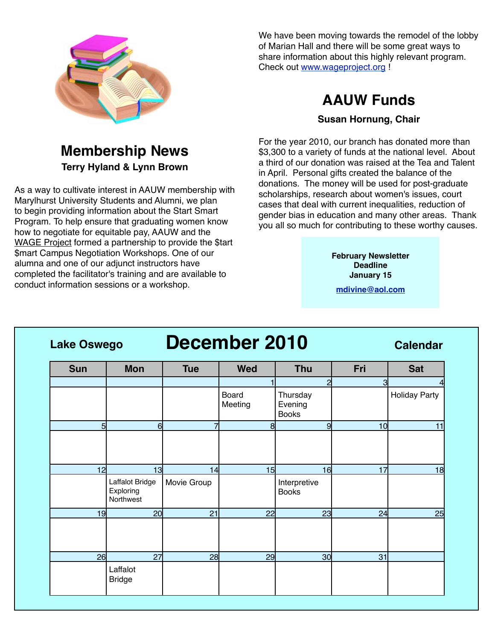

# **Membership News Terry Hyland & Lynn Brown**

As a way to cultivate interest in AAUW membership with Marylhurst University Students and Alumni, we plan to begin providing information about the Start Smart Program. To help ensure that graduating women know how to negotiate for equitable pay, AAUW and the [WAGE Project](http://www.wageproject.org/) formed a partnership to provide the \$tart \$mart Campus Negotiation Workshops. One of our alumna and one of our adjunct instructors have completed the facilitator's training and are available to conduct information sessions or a workshop.

We have been moving towards the remodel of the lobby of Marian Hall and there will be some great ways to share information about this highly relevant program. Check out [www.wageproject.org](http://www.wageproject.org/) !

# **AAUW Funds**

#### **Susan Hornung, Chair**

For the year 2010, our branch has donated more than \$3,300 to a variety of funds at the national level. About a third of our donation was raised at the Tea and Talent in April. Personal gifts created the balance of the donations. The money will be used for post-graduate scholarships, research about women's issues, court cases that deal with current inequalities, reduction of gender bias in education and many other areas. Thank you all so much for contributing to these worthy causes.

> **February Newsletter Deadline January 15**

**[mdivine@aol.com](mailto:mdivine@aol.com)**

**Lake Oswego December 2010 Calendar**

| <b>Sun</b> | <b>Mon</b>                                | <b>Tue</b>  | <b>Wed</b>       | <b>Thu</b>                          | Fri            | <b>Sat</b>           |
|------------|-------------------------------------------|-------------|------------------|-------------------------------------|----------------|----------------------|
|            |                                           |             |                  | $\overline{c}$                      | $\overline{3}$ |                      |
|            |                                           |             | Board<br>Meeting | Thursday<br>Evening<br><b>Books</b> |                | <b>Holiday Party</b> |
| 5          | $6 \mid$                                  | 7           | 8 <sup>1</sup>   | 9                                   | 10             | 11                   |
|            |                                           |             |                  |                                     |                |                      |
| 12         | 13                                        | 14          | 15               | 16                                  | 17             | 18                   |
|            | Laffalot Bridge<br>Exploring<br>Northwest | Movie Group |                  | Interpretive<br><b>Books</b>        |                |                      |
| 19         | 20                                        | 21          | 22               | 23                                  | 24             | 25                   |
|            |                                           |             |                  |                                     |                |                      |
| 26         | 27                                        | 28          | 29               | 30 <sub>l</sub>                     | 31             |                      |
|            | Laffalot<br><b>Bridge</b>                 |             |                  |                                     |                |                      |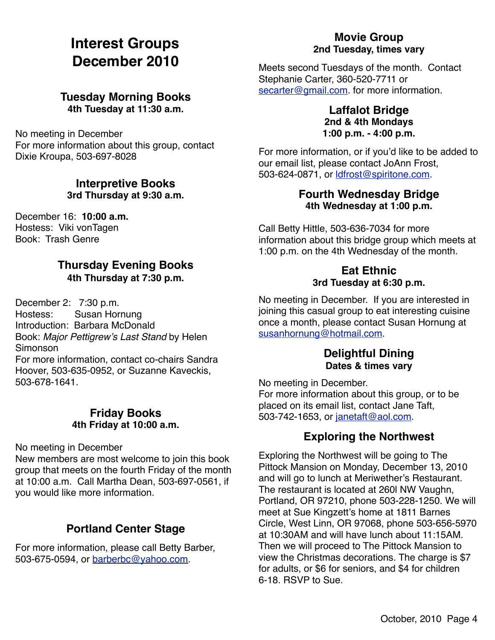# **Interest Groups December 2010**

### **Tuesday Morning Books 4th Tuesday at 11:30 a.m.**

No meeting in December For more information about this group, contact Dixie Kroupa, 503-697-8028

#### **Interpretive Books 3rd Thursday at 9:30 a.m.**

December 16: **10:00 a.m.** Hostess: Viki vonTagen Book: Trash Genre

### **Thursday Evening Books 4th Thursday at 7:30 p.m.**

December 2: 7:30 p.m. Hostess: Susan Hornung Introduction: Barbara McDonald Book: *Major Pettigrew*'*s Last Stand* by Helen Simonson For more information, contact co-chairs Sandra Hoover, 503-635-0952, or Suzanne Kaveckis, 503-678-1641.

#### **Friday Books 4th Friday at 10:00 a.m.**

No meeting in December

New members are most welcome to join this book group that meets on the fourth Friday of the month at 10:00 a.m. Call Martha Dean, 503-697-0561, if you would like more information.

# **Portland Center Stage**

For more information, please call Betty Barber, 503-675-0594, or [barberbc@yahoo.com.](mailto:barberbc@yahoo.com)

# **Movie Group 2nd Tuesday, times vary**

Meets second Tuesdays of the month. Contact Stephanie Carter, 360-520-7711 or [secarter@gmail.com.](mailto:secarter@gmail.com) for more information.

#### **Laffalot Bridge 2nd & 4th Mondays 1:00 p.m. - 4:00 p.m.**

For more information, or if you'd like to be added to our email list, please contact JoAnn Frost, 503-624-0871, or [ldfrost@spiritone.com.](mailto:ldfrost@spiritone.com)

## **Fourth Wednesday Bridge 4th Wednesday at 1:00 p.m.**

Call Betty Hittle, 503-636-7034 for more information about this bridge group which meets at 1:00 p.m. on the 4th Wednesday of the month.

## **Eat Ethnic 3rd Tuesday at 6:30 p.m.**

No meeting in December. If you are interested in joining this casual group to eat interesting cuisine once a month, please contact Susan Hornung at [susanhornung@hotmail.com.](mailto:susanhornung@hotmail.com)

## **Delightful Dining Dates & times vary**

No meeting in December.

For more information about this group, or to be placed on its email list, contact Jane Taft, 503-742-1653, or [janetaft@aol.com.](mailto:janetaft@aol.com)

# **Exploring the Northwest**

Exploring the Northwest will be going to The Pittock Mansion on Monday, December 13, 2010 and will go to lunch at Meriwether's Restaurant. The restaurant is located at 260l NW Vaughn, Portland, OR 97210, phone 503-228-1250. We will meet at Sue Kingzett's home at 1811 Barnes Circle, West Linn, OR 97068, phone 503-656-5970 at 10:30AM and will have lunch about 11:15AM. Then we will proceed to The Pittock Mansion to view the Christmas decorations. The charge is \$7 for adults, or \$6 for seniors, and \$4 for children 6-18. RSVP to Sue.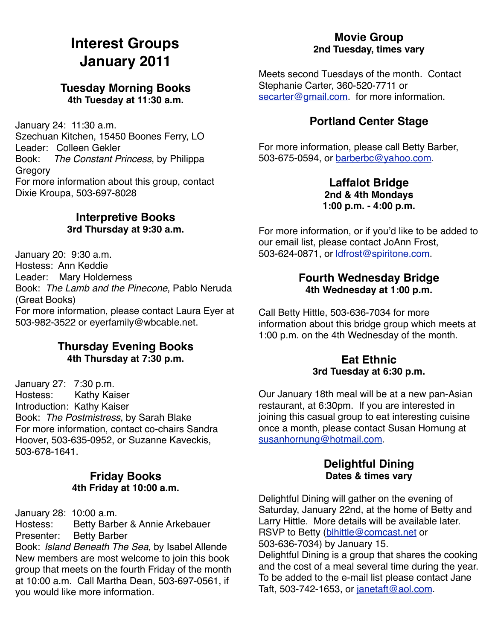# **Interest Groups January 2011**

### **Tuesday Morning Books 4th Tuesday at 11:30 a.m.**

January 24: 11:30 a.m. Szechuan Kitchen, 15450 Boones Ferry, LO Leader: Colleen Gekler Book: *The Constant Princess*, by Philippa **Gregory** For more information about this group, contact Dixie Kroupa, 503-697-8028

## **Interpretive Books 3rd Thursday at 9:30 a.m.**

January 20: 9:30 a.m. Hostess: Ann Keddie Leader: Mary Holderness Book: *The Lamb and the Pinecone*, Pablo Neruda (Great Books) For more information, please contact Laura Eyer at 503-982-3522 or eyerfamily@wbcable.net.

#### **Thursday Evening Books 4th Thursday at 7:30 p.m.**

January 27: 7:30 p.m. Hostess: Kathy Kaiser Introduction: Kathy Kaiser Book: *The Postmistress*, by Sarah Blake For more information, contact co-chairs Sandra Hoover, 503-635-0952, or Suzanne Kaveckis, 503-678-1641.

## **Friday Books 4th Friday at 10:00 a.m.**

January 28: 10:00 a.m.

Hostess: Betty Barber & Annie Arkebauer Presenter: Betty Barber

Book: *Island Beneath The Sea*, by Isabel Allende New members are most welcome to join this book group that meets on the fourth Friday of the month at 10:00 a.m. Call Martha Dean, 503-697-0561, if you would like more information.

# **Movie Group 2nd Tuesday, times vary**

Meets second Tuesdays of the month. Contact Stephanie Carter, 360-520-7711 or [secarter@gmail.com.](mailto:secarter@gmail.com) for more information.

# **Portland Center Stage**

For more information, please call Betty Barber, 503-675-0594, or [barberbc@yahoo.com.](mailto:barberbc@yahoo.com)

#### **Laffalot Bridge 2nd & 4th Mondays 1:00 p.m. - 4:00 p.m.**

For more information, or if you'd like to be added to our email list, please contact JoAnn Frost, 503-624-0871, or [ldfrost@spiritone.com.](mailto:ldfrost@spiritone.com)

## **Fourth Wednesday Bridge 4th Wednesday at 1:00 p.m.**

Call Betty Hittle, 503-636-7034 for more information about this bridge group which meets at 1:00 p.m. on the 4th Wednesday of the month.

### **Eat Ethnic 3rd Tuesday at 6:30 p.m.**

Our January 18th meal will be at a new pan-Asian restaurant, at 6:30pm. If you are interested in joining this casual group to eat interesting cuisine once a month, please contact Susan Hornung at [susanhornung@hotmail.com.](mailto:susanhornung@hotmail.com)

### **Delightful Dining Dates & times vary**

Delightful Dining will gather on the evening of Saturday, January 22nd, at the home of Betty and Larry Hittle. More details will be available later. RSVP to Betty [\(blhittle@comcast.net](mailto:blhittle@comcast.net) or 503-636-7034) by January 15. Delightful Dining is a group that shares the cooking and the cost of a meal several time during the year. To be added to the e-mail list please contact Jane Taft, 503-742-1653, or [janetaft@aol.com.](mailto:janetaft@aol.com)